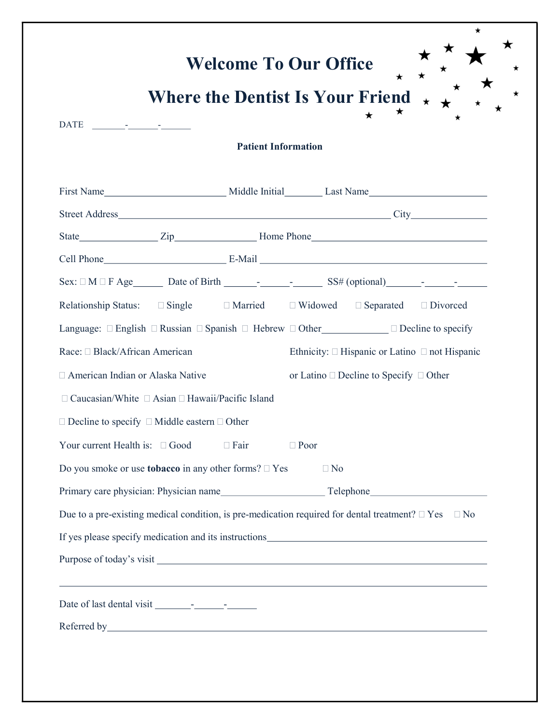|                                                              |                                                                   | Where the Dentist Is Your Friend $\star$                                                                                                                                                                                       |
|--------------------------------------------------------------|-------------------------------------------------------------------|--------------------------------------------------------------------------------------------------------------------------------------------------------------------------------------------------------------------------------|
|                                                              |                                                                   |                                                                                                                                                                                                                                |
| DATE - -                                                     | <b>Patient Information</b>                                        |                                                                                                                                                                                                                                |
|                                                              |                                                                   |                                                                                                                                                                                                                                |
|                                                              |                                                                   |                                                                                                                                                                                                                                |
|                                                              |                                                                   |                                                                                                                                                                                                                                |
|                                                              |                                                                   |                                                                                                                                                                                                                                |
|                                                              |                                                                   |                                                                                                                                                                                                                                |
|                                                              |                                                                   |                                                                                                                                                                                                                                |
|                                                              |                                                                   | Relationship Status: □ Single □ Married □ Widowed □ Separated □ Divorced                                                                                                                                                       |
|                                                              |                                                                   | Language: □ English □ Russian □ Spanish □ Hebrew □ Other___________ □ Decline to specify                                                                                                                                       |
| Race: □ Black/African American                               |                                                                   | Ethnicity: $\Box$ Hispanic or Latino $\Box$ not Hispanic                                                                                                                                                                       |
| □ American Indian or Alaska Native                           |                                                                   | or Latino $\square$ Decline to Specify $\square$ Other                                                                                                                                                                         |
|                                                              | $\Box$ Caucasian/White $\Box$ Asian $\Box$ Hawaii/Pacific Island  |                                                                                                                                                                                                                                |
| $\Box$ Decline to specify $\Box$ Middle eastern $\Box$ Other |                                                                   |                                                                                                                                                                                                                                |
| Your current Health is: $\Box$ Good                          | $\Box$ Fair                                                       | $\Box$ Poor                                                                                                                                                                                                                    |
|                                                              | Do you smoke or use <b>tobacco</b> in any other forms? $\Box$ Yes | $\Box$ No                                                                                                                                                                                                                      |
|                                                              |                                                                   |                                                                                                                                                                                                                                |
|                                                              |                                                                   | Due to a pre-existing medical condition, is pre-medication required for dental treatment? $\Box$ Yes $\Box$ No                                                                                                                 |
|                                                              |                                                                   |                                                                                                                                                                                                                                |
|                                                              |                                                                   |                                                                                                                                                                                                                                |
|                                                              |                                                                   | ,我们也不会有什么。""我们的人,我们也不会有什么?""我们的人,我们也不会有什么?""我们的人,我们也不会有什么?""我们的人,我们也不会有什么?""我们的人                                                                                                                                               |
|                                                              |                                                                   |                                                                                                                                                                                                                                |
|                                                              |                                                                   | Referred by which is a set of the set of the set of the set of the set of the set of the set of the set of the set of the set of the set of the set of the set of the set of the set of the set of the set of the set of the s |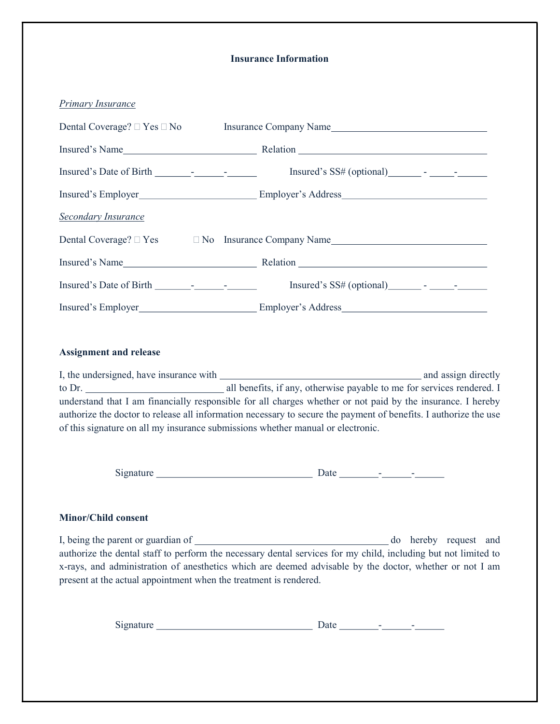## Insurance Information

| Primary Insurance                                                               |                                                                                                                                                                                                                                 |
|---------------------------------------------------------------------------------|---------------------------------------------------------------------------------------------------------------------------------------------------------------------------------------------------------------------------------|
|                                                                                 |                                                                                                                                                                                                                                 |
|                                                                                 |                                                                                                                                                                                                                                 |
|                                                                                 | $Insured's SS\# (optional)$ - - - -                                                                                                                                                                                             |
|                                                                                 |                                                                                                                                                                                                                                 |
| <b>Secondary Insurance</b>                                                      |                                                                                                                                                                                                                                 |
|                                                                                 | Dental Coverage? $\Box$ Yes $\Box$ No Insurance Company Name                                                                                                                                                                    |
|                                                                                 |                                                                                                                                                                                                                                 |
|                                                                                 |                                                                                                                                                                                                                                 |
|                                                                                 |                                                                                                                                                                                                                                 |
| <b>Assignment and release</b>                                                   |                                                                                                                                                                                                                                 |
|                                                                                 |                                                                                                                                                                                                                                 |
|                                                                                 |                                                                                                                                                                                                                                 |
| of this signature on all my insurance submissions whether manual or electronic. | understand that I am financially responsible for all charges whether or not paid by the insurance. I hereby<br>authorize the doctor to release all information necessary to secure the payment of benefits. I authorize the use |
|                                                                                 |                                                                                                                                                                                                                                 |
|                                                                                 |                                                                                                                                                                                                                                 |

## Minor/Child consent

I, being the parent or guardian of do hereby request and authorize the dental staff to perform the necessary dental services for my child, including but not limited to x-rays, and administration of anesthetics which are deemed advisable by the doctor, whether or not I am present at the actual appointment when the treatment is rendered.

| $\sim$<br>$\mathbf{v}$<br>ັ | 2 U V<br>----<br>_ _ _ |  |
|-----------------------------|------------------------|--|
|                             |                        |  |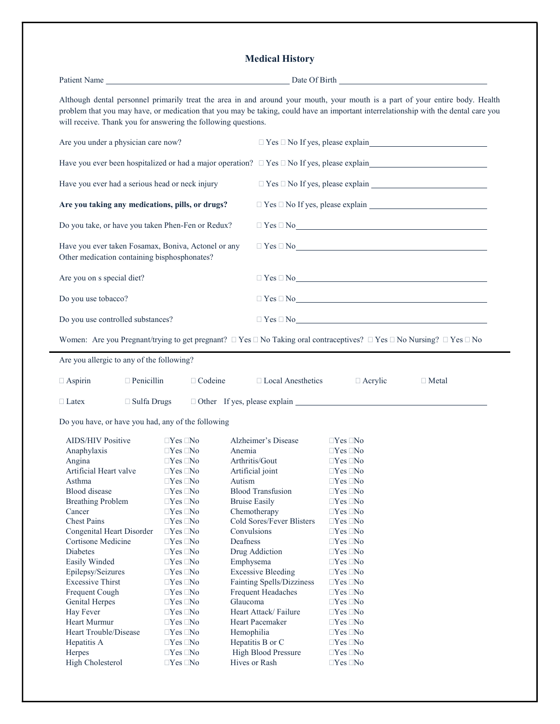## Medical History

| will receive. Thank you for answering the following questions.                                                                                      |                                                | Although dental personnel primarily treat the area in and around your mouth, your mouth is a part of your entire body. Health<br>problem that you may have, or medication that you may be taking, could have an important interrelationship with the dental care you |  |  |
|-----------------------------------------------------------------------------------------------------------------------------------------------------|------------------------------------------------|----------------------------------------------------------------------------------------------------------------------------------------------------------------------------------------------------------------------------------------------------------------------|--|--|
| Are you under a physician care now?                                                                                                                 |                                                |                                                                                                                                                                                                                                                                      |  |  |
| Have you ever been hospitalized or had a major operation? $\Box$ Yes $\Box$ No If yes, please explain                                               |                                                |                                                                                                                                                                                                                                                                      |  |  |
| Have you ever had a serious head or neck injury                                                                                                     |                                                | $\Box$ Yes $\Box$ No If yes, please explain                                                                                                                                                                                                                          |  |  |
| Are you taking any medications, pills, or drugs?                                                                                                    |                                                | $\Box$ Yes $\Box$ No If yes, please explain $\Box$                                                                                                                                                                                                                   |  |  |
| Do you take, or have you taken Phen-Fen or Redux?                                                                                                   |                                                |                                                                                                                                                                                                                                                                      |  |  |
| Have you ever taken Fosamax, Boniva, Actonel or any<br>Other medication containing bisphosphonates?                                                 |                                                | $\Box$ Yes $\Box$ No                                                                                                                                                                                                                                                 |  |  |
| Are you on s special diet?                                                                                                                          |                                                | $\Box$ Yes $\Box$ No                                                                                                                                                                                                                                                 |  |  |
| Do you use tobacco?                                                                                                                                 |                                                | $\Box$ Yes $\Box$ No                                                                                                                                                                                                                                                 |  |  |
| Do you use controlled substances?                                                                                                                   | $\Box$ Yes $\Box$ No $\Box$                    |                                                                                                                                                                                                                                                                      |  |  |
| Women: Are you Pregnant/trying to get pregnant? $\Box$ Yes $\Box$ No Taking oral contraceptives? $\Box$ Yes $\Box$ No Nursing? $\Box$ Yes $\Box$ No |                                                |                                                                                                                                                                                                                                                                      |  |  |
| Are you allergic to any of the following?                                                                                                           |                                                |                                                                                                                                                                                                                                                                      |  |  |
| $\Box$ Penicillin<br>□ Codeine<br>$\Box$ Aspirin                                                                                                    | □ Local Anesthetics                            | $\Box$ Acrylic<br>$\Box$ Metal                                                                                                                                                                                                                                       |  |  |
| $\Box$ Sulfa Drugs<br>$\Box$ Latex                                                                                                                  |                                                | $\Box$ Other If yes, please explain $\Box$                                                                                                                                                                                                                           |  |  |
|                                                                                                                                                     |                                                |                                                                                                                                                                                                                                                                      |  |  |
| Do you have, or have you had, any of the following                                                                                                  |                                                |                                                                                                                                                                                                                                                                      |  |  |
| <b>AIDS/HIV Positive</b><br>$\Box$ Yes $\Box$ No                                                                                                    | Alzheimer's Disease                            | $\Box$ Yes $\Box$ No                                                                                                                                                                                                                                                 |  |  |
| $\Box$ Yes $\Box$ No<br>Anaphylaxis                                                                                                                 | Anemia                                         | $\Box$ Yes $\Box$ No                                                                                                                                                                                                                                                 |  |  |
| $\Box$ Yes $\Box$ No<br>Angina                                                                                                                      | Arthritis/Gout                                 | $\Box$ Yes $\Box$ No                                                                                                                                                                                                                                                 |  |  |
| Artificial Heart valve<br>$\Box Y$ es $\Box$ No                                                                                                     | Artificial joint                               | $\Box$ Yes $\Box$ No                                                                                                                                                                                                                                                 |  |  |
| Asthma<br>$\Box$ Yes $\Box$ No                                                                                                                      | Autism                                         | $\Box$ Yes $\Box$ No                                                                                                                                                                                                                                                 |  |  |
| Blood disease<br>$\Box$ Yes $\Box$ No                                                                                                               | <b>Blood Transfusion</b>                       | $\Box$ Yes $\Box$ No                                                                                                                                                                                                                                                 |  |  |
| <b>Breathing Problem</b><br>$\Box$ Yes $\Box$ No                                                                                                    | <b>Bruise Easily</b>                           | $\Box$ Yes $\Box$ No                                                                                                                                                                                                                                                 |  |  |
| $\Box$ Yes $\Box$ No<br>Cancer                                                                                                                      | Chemotherapy                                   | $\Box$ Yes $\Box$ No                                                                                                                                                                                                                                                 |  |  |
| <b>Chest Pains</b><br>$\Box$ Yes $\Box$ No                                                                                                          | Cold Sores/Fever Blisters                      | $\Box$ Yes $\Box$ No                                                                                                                                                                                                                                                 |  |  |
| Congenital Heart Disorder<br>$\Box$ Yes $\Box$ No                                                                                                   | Convulsions                                    | $\Box$ Yes $\Box$ No                                                                                                                                                                                                                                                 |  |  |
| Cortisone Medicine<br>$\Box$ Yes $\Box$ No                                                                                                          | Deafness                                       | $\Box$ Yes $\Box$ No                                                                                                                                                                                                                                                 |  |  |
| Diabetes<br>$\Box$ Yes $\Box$ No                                                                                                                    | Drug Addiction                                 | $\Box$ Yes $\Box$ No                                                                                                                                                                                                                                                 |  |  |
| Easily Winded<br>$\Box$ Yes $\Box$ No                                                                                                               | Emphysema                                      | $\Box$ Yes $\Box$ No                                                                                                                                                                                                                                                 |  |  |
| Epilepsy/Seizures<br>$\Box$ Yes $\Box$ No                                                                                                           | <b>Excessive Bleeding</b>                      | $\Box$ Yes $\Box$ No                                                                                                                                                                                                                                                 |  |  |
| <b>Excessive Thirst</b><br>$\Box$ Yes $\Box$ No                                                                                                     | Fainting Spells/Dizziness                      | $\Box$ Yes $\Box$ No                                                                                                                                                                                                                                                 |  |  |
| Frequent Cough<br>$\Box$ Yes $\Box$ No                                                                                                              | <b>Frequent Headaches</b>                      | $\Box$ Yes $\Box$ No                                                                                                                                                                                                                                                 |  |  |
| Genital Herpes<br>$\Box$ Yes $\Box$ No                                                                                                              | Glaucoma                                       | $\Box$ Yes $\Box$ No                                                                                                                                                                                                                                                 |  |  |
| $\Box$ Yes $\Box$ No                                                                                                                                | Heart Attack/Failure                           | $\Box$ Yes $\Box$ No                                                                                                                                                                                                                                                 |  |  |
| Hay Fever<br>Heart Murmur<br>$\Box$ Yes $\Box$ No                                                                                                   |                                                | $\Box$ Yes $\Box$ No                                                                                                                                                                                                                                                 |  |  |
| $\Box$ Yes $\Box$ No                                                                                                                                | Heart Pacemaker                                | $\Box$ Yes $\Box$ No                                                                                                                                                                                                                                                 |  |  |
| Heart Trouble/Disease                                                                                                                               | Hemophilia                                     |                                                                                                                                                                                                                                                                      |  |  |
| Hepatitis A<br>$\Box Yes \Box No$<br>Herpes<br>$\Box$ Yes $\Box$ No                                                                                 | Hepatitis B or C<br><b>High Blood Pressure</b> | $\Box$ Yes $\Box$ No<br>$\Box$ Yes $\Box$ No                                                                                                                                                                                                                         |  |  |